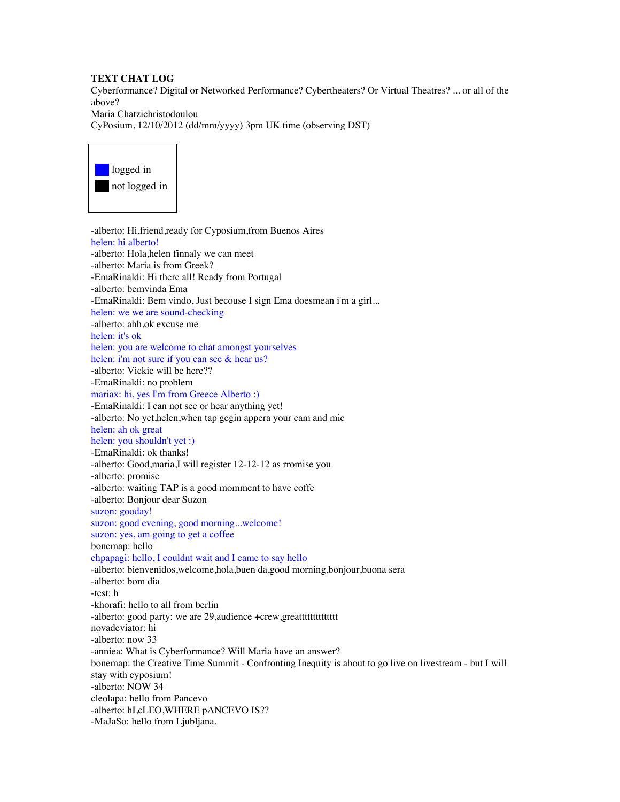## **TEXT CHAT LOG**

Cyberformance? Digital or Networked Performance? Cybertheaters? Or Virtual Theatres? ... or all of the above? Maria Chatzichristodoulou CyPosium, 12/10/2012 (dd/mm/yyyy) 3pm UK time (observing DST)



-alberto: Hi,friend,ready for Cyposium,from Buenos Aires helen: hi alberto! -alberto: Hola,helen finnaly we can meet -alberto: Maria is from Greek? -EmaRinaldi: Hi there all! Ready from Portugal -alberto: bemvinda Ema -EmaRinaldi: Bem vindo, Just becouse I sign Ema doesmean i'm a girl... helen: we we are sound-checking -alberto: ahh,ok excuse me helen: it's ok helen: you are welcome to chat amongst yourselves helen: i'm not sure if you can see & hear us? -alberto: Vickie will be here?? -EmaRinaldi: no problem mariax: hi, yes I'm from Greece Alberto :) -EmaRinaldi: I can not see or hear anything yet! -alberto: No yet,helen,when tap gegin appera your cam and mic helen: ah ok great helen: you shouldn't yet :) -EmaRinaldi: ok thanks! -alberto: Good,maria,I will register 12-12-12 as rromise you -alberto: promise -alberto: waiting TAP is a good momment to have coffe -alberto: Bonjour dear Suzon suzon: gooday! suzon: good evening, good morning...welcome! suzon: yes, am going to get a coffee bonemap: hello chpapagi: hello, I couldnt wait and I came to say hello -alberto: bienvenidos,welcome,hola,buen da,good morning,bonjour,buona sera -alberto: bom dia -test: h -khorafi: hello to all from berlin -alberto: good party: we are 29, audience +crew, greatttttttttttttttt novadeviator: hi -alberto: now 33 -anniea: What is Cyberformance? Will Maria have an answer? bonemap: the Creative Time Summit - Confronting Inequity is about to go live on livestream - but I will stay with cyposium! -alberto: NOW 34 cleolapa: hello from Pancevo -alberto: hI,cLEO,WHERE pANCEVO IS?? -MaJaSo: hello from Ljubljana.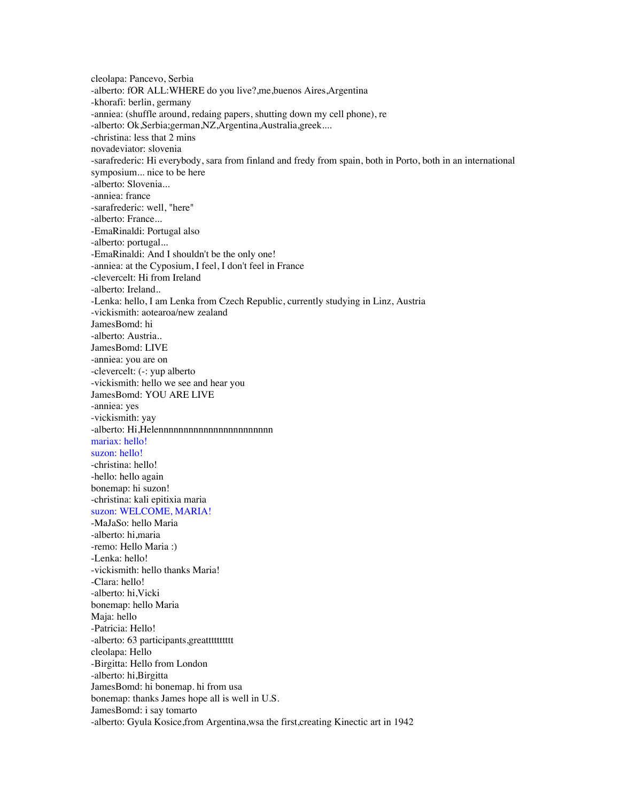cleolapa: Pancevo, Serbia -alberto: fOR ALL:WHERE do you live?,me,buenos Aires,Argentina -khorafi: berlin, germany -anniea: (shuffle around, redaing papers, shutting down my cell phone), re -alberto: Ok,Serbia;german,NZ,Argentina,Australia,greek.... -christina: less that 2 mins novadeviator: slovenia -sarafrederic: Hi everybody, sara from finland and fredy from spain, both in Porto, both in an international symposium... nice to be here -alberto: Slovenia... -anniea: france -sarafrederic: well, "here" -alberto: France... -EmaRinaldi: Portugal also -alberto: portugal... -EmaRinaldi: And I shouldn't be the only one! -anniea: at the Cyposium, I feel, I don't feel in France -clevercelt: Hi from Ireland -alberto: Ireland.. -Lenka: hello, I am Lenka from Czech Republic, currently studying in Linz, Austria -vickismith: aotearoa/new zealand JamesBomd: hi -alberto: Austria.. JamesBomd: LIVE -anniea: you are on -clevercelt: (-: yup alberto -vickismith: hello we see and hear you JamesBomd: YOU ARE LIVE -anniea: yes -vickismith: yay -alberto: Hi,Helennnnnnnnnnnnnnnnnnnnnnn mariax: hello! suzon: hello! -christina: hello! -hello: hello again bonemap: hi suzon! -christina: kali epitixia maria suzon: WELCOME, MARIA! -MaJaSo: hello Maria -alberto: hi,maria -remo: Hello Maria :) -Lenka: hello! -vickismith: hello thanks Maria! -Clara: hello! -alberto: hi,Vicki bonemap: hello Maria Maja: hello -Patricia: Hello! -alberto: 63 participants, greattttttttttt cleolapa: Hello -Birgitta: Hello from London -alberto: hi,Birgitta JamesBomd: hi bonemap. hi from usa bonemap: thanks James hope all is well in U.S. JamesBomd: i say tomarto -alberto: Gyula Kosice,from Argentina,wsa the first,creating Kinectic art in 1942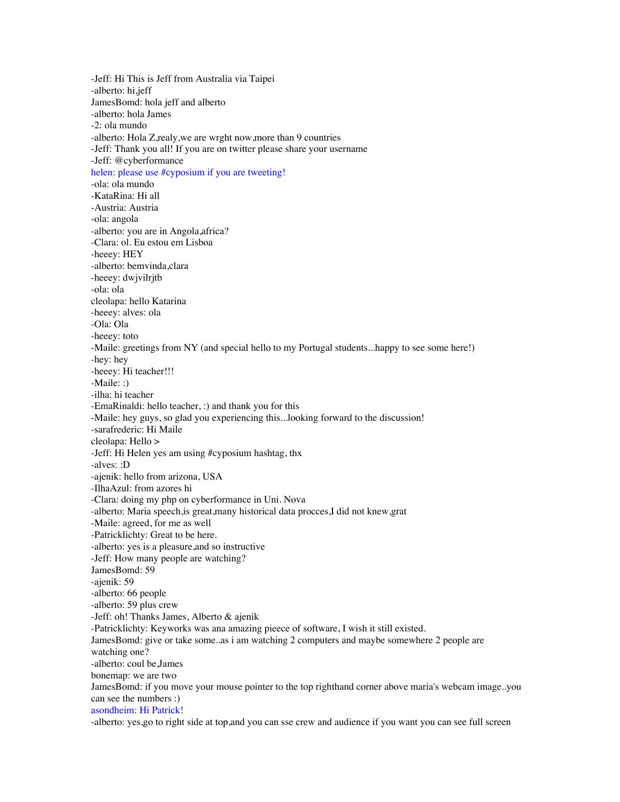-Jeff: Hi This is Jeff from Australia via Taipei -alberto: hi,jeff JamesBomd: hola jeff and alberto -alberto: hola James -2: ola mundo -alberto: Hola Z,realy,we are wrght now,more than 9 countries -Jeff: Thank you all! If you are on twitter please share your username -Jeff: @cyberformance helen: please use #cyposium if you are tweeting! -ola: ola mundo -KataRina: Hi all -Austria: Austria -ola: angola -alberto: you are in Angola,africa? -Clara: ol. Eu estou em Lisboa -heeey: HEY -alberto: bemvinda,clara -heeey: dwjvilrjtb -ola: ola cleolapa: hello Katarina -heeey: alves: ola -Ola: Ola -heeey: toto -Maile: greetings from NY (and special hello to my Portugal students...happy to see some here!) -hey: hey -heeey: Hi teacher!!! -Maile: :) -ilha: hi teacher -EmaRinaldi: hello teacher, :) and thank you for this -Maile: hey guys, so glad you experiencing this...looking forward to the discussion! -sarafrederic: Hi Maile cleolapa: Hello > -Jeff: Hi Helen yes am using #cyposium hashtag, thx -alves: :D -ajenik: hello from arizona, USA -IlhaAzul: from azores hi -Clara: doing my php on cyberformance in Uni. Nova -alberto: Maria speech,is great,many historical data procces,I did not knew,grat -Maile: agreed, for me as well -Patricklichty: Great to be here. -alberto: yes is a pleasure,and so instructive -Jeff: How many people are watching? JamesBomd: 59 -ajenik: 59 -alberto: 66 people -alberto: 59 plus crew -Jeff: oh! Thanks James, Alberto & ajenik -Patricklichty: Keyworks was ana amazing pieece of software, I wish it still existed. JamesBomd: give or take some..as i am watching 2 computers and maybe somewhere 2 people are watching one? -alberto: coul be,James bonemap: we are two JamesBomd: if you move your mouse pointer to the top righthand corner above maria's webcam image..you can see the numbers :) asondheim: Hi Patrick! -alberto: yes,go to right side at top,and you can sse crew and audience if you want you can see full screen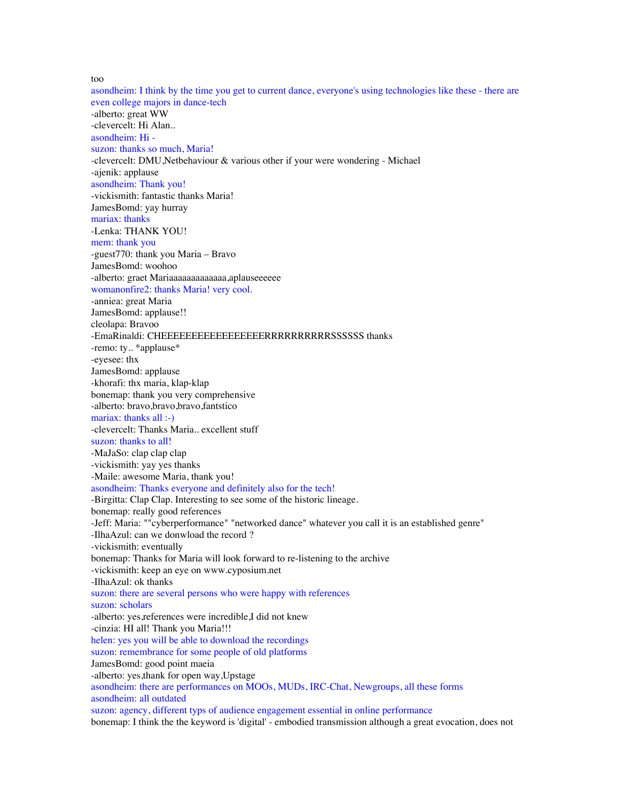too

asondheim: I think by the time you get to current dance, everyone's using technologies like these - there are even college majors in dance-tech -alberto: great WW -clevercelt: Hi Alan.. asondheim: Hi suzon: thanks so much, Maria! -clevercelt: DMU,Netbehaviour & various other if your were wondering - Michael -ajenik: applause asondheim: Thank you! -vickismith: fantastic thanks Maria! JamesBomd: yay hurray mariax: thanks -Lenka: THANK YOU! mem: thank you -guest770: thank you Maria – Bravo JamesBomd: woohoo -alberto: graet Mariaaaaaaaaaaaaa,aplauseeeeee womanonfire2: thanks Maria! very cool. -anniea: great Maria JamesBomd: applause!! cleolapa: Bravoo -EmaRinaldi: CHEEEEEEEEEEEEEEEEERRRRRRRRRRSSSSSS thanks -remo: ty.. \*applause\* -eyesee: thx JamesBomd: applause -khorafi: thx maria, klap-klap bonemap: thank you very comprehensive -alberto: bravo,bravo,bravo,fantstico mariax: thanks all :-) -clevercelt: Thanks Maria.. excellent stuff suzon: thanks to all! -MaJaSo: clap clap clap -vickismith: yay yes thanks -Maile: awesome Maria, thank you! asondheim: Thanks everyone and definitely also for the tech! -Birgitta: Clap Clap. Interesting to see some of the historic lineage. bonemap: really good references -Jeff: Maria: ""cyberperformance" "networked dance" whatever you call it is an established genre" -IlhaAzul: can we donwload the record ? -vickismith: eventually bonemap: Thanks for Maria will look forward to re-listening to the archive -vickismith: keep an eye on www.cyposium.net -IlhaAzul: ok thanks suzon: there are several persons who were happy with references suzon: scholars -alberto: yes,references were incredible,I did not knew -cinzia: HI all! Thank you Maria!!! helen: yes you will be able to download the recordings suzon: remembrance for some people of old platforms JamesBomd: good point maeia -alberto: yes,thank for open way,Upstage asondheim: there are performances on MOOs, MUDs, IRC-Chat, Newgroups, all these forms asondheim: all outdated suzon: agency, different typs of audience engagement essential in online performance bonemap: I think the the keyword is 'digital' - embodied transmission although a great evocation, does not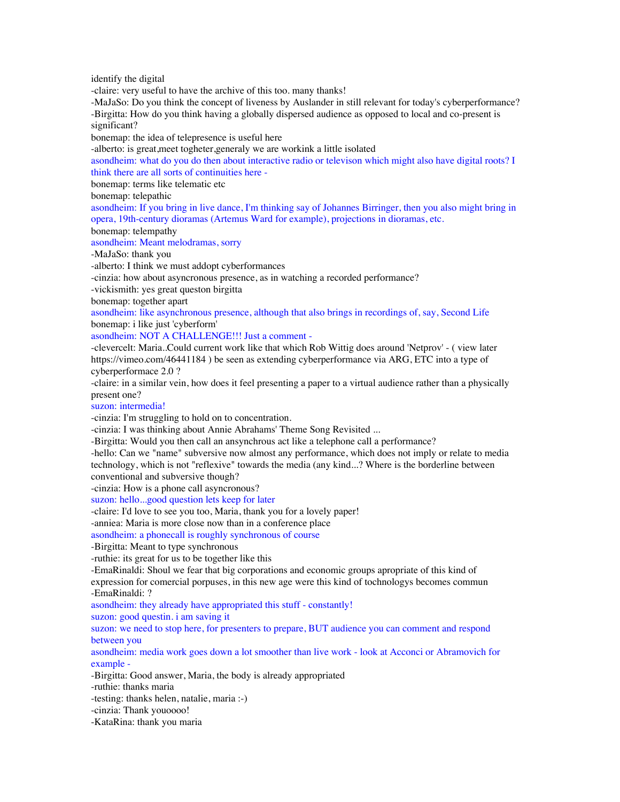identify the digital

-claire: very useful to have the archive of this too. many thanks!

-MaJaSo: Do you think the concept of liveness by Auslander in still relevant for today's cyberperformance? -Birgitta: How do you think having a globally dispersed audience as opposed to local and co-present is significant?

bonemap: the idea of telepresence is useful here

-alberto: is great,meet togheter,generaly we are workink a little isolated

asondheim: what do you do then about interactive radio or televison which might also have digital roots? I think there are all sorts of continuities here -

bonemap: terms like telematic etc

bonemap: telepathic

asondheim: If you bring in live dance, I'm thinking say of Johannes Birringer, then you also might bring in opera, 19th-century dioramas (Artemus Ward for example), projections in dioramas, etc.

bonemap: telempathy

asondheim: Meant melodramas, sorry

-MaJaSo: thank you

-alberto: I think we must addopt cyberformances

-cinzia: how about asyncronous presence, as in watching a recorded performance?

-vickismith: yes great queston birgitta

bonemap: together apart

asondheim: like asynchronous presence, although that also brings in recordings of, say, Second Life bonemap: i like just 'cyberform'

asondheim: NOT A CHALLENGE!!! Just a comment -

-clevercelt: Maria..Could current work like that which Rob Wittig does around 'Netprov' - ( view later https://vimeo.com/46441184 ) be seen as extending cyberperformance via ARG, ETC into a type of cyberperformace 2.0 ?

-claire: in a similar vein, how does it feel presenting a paper to a virtual audience rather than a physically present one?

suzon: intermedia!

-cinzia: I'm struggling to hold on to concentration.

-cinzia: I was thinking about Annie Abrahams' Theme Song Revisited ...

-Birgitta: Would you then call an ansynchrous act like a telephone call a performance?

-hello: Can we "name" subversive now almost any performance, which does not imply or relate to media technology, which is not "reflexive" towards the media (any kind...? Where is the borderline between conventional and subversive though?

-cinzia: How is a phone call asyncronous?

suzon: hello...good question lets keep for later

-claire: I'd love to see you too, Maria, thank you for a lovely paper!

-anniea: Maria is more close now than in a conference place

asondheim: a phonecall is roughly synchronous of course

-Birgitta: Meant to type synchronous

-ruthie: its great for us to be together like this

-EmaRinaldi: Shoul we fear that big corporations and economic groups apropriate of this kind of

expression for comercial porpuses, in this new age were this kind of tochnologys becomes commun -EmaRinaldi: ?

asondheim: they already have appropriated this stuff - constantly!

suzon: good questin. i am saving it

suzon: we need to stop here, for presenters to prepare, BUT audience you can comment and respond between you

asondheim: media work goes down a lot smoother than live work - look at Acconci or Abramovich for example -

-Birgitta: Good answer, Maria, the body is already appropriated

-ruthie: thanks maria

-testing: thanks helen, natalie, maria :-)

-cinzia: Thank youoooo!

-KataRina: thank you maria